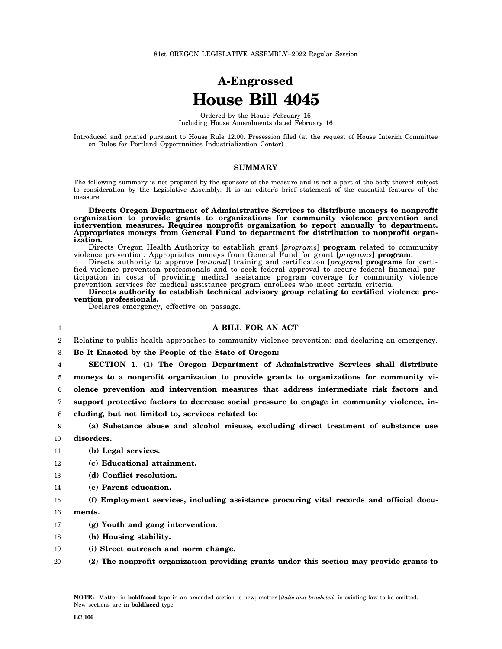# **A-Engrossed House Bill 4045**

Ordered by the House February 16 Including House Amendments dated February 16

Introduced and printed pursuant to House Rule 12.00. Presession filed (at the request of House Interim Committee on Rules for Portland Opportunities Industrialization Center)

## **SUMMARY**

The following summary is not prepared by the sponsors of the measure and is not a part of the body thereof subject to consideration by the Legislative Assembly. It is an editor's brief statement of the essential features of the measure.

**Directs Oregon Department of Administrative Services to distribute moneys to nonprofit organization to provide grants to organizations for community violence prevention and intervention measures. Requires nonprofit organization to report annually to department. Appropriates moneys from General Fund to department for distribution to nonprofit organization.**

Directs Oregon Health Authority to establish grant [*programs*] **program** related to community violence prevention. Appropriates moneys from General Fund for grant [*programs*] **program**.

Directs authority to approve [*national*] training and certification [*program*] **programs** for certified violence prevention professionals and to seek federal approval to secure federal financial participation in costs of providing medical assistance program coverage for community violence prevention services for medical assistance program enrollees who meet certain criteria.

**Directs authority to establish technical advisory group relating to certified violence prevention professionals.**

Declares emergency, effective on passage.

## 1

## **A BILL FOR AN ACT**

2 Relating to public health approaches to community violence prevention; and declaring an emergency.

3 **Be It Enacted by the People of the State of Oregon:**

4 **SECTION 1. (1) The Oregon Department of Administrative Services shall distribute**

5 **moneys to a nonprofit organization to provide grants to organizations for community vi-**

6 **olence prevention and intervention measures that address intermediate risk factors and**

7 **support protective factors to decrease social pressure to engage in community violence, in-**

8 **cluding, but not limited to, services related to:**

### 9 10 **(a) Substance abuse and alcohol misuse, excluding direct treatment of substance use disorders.**

#### 11 **(b) Legal services.**

- 12 **(c) Educational attainment.**
- 13 **(d) Conflict resolution.**
- 14 **(e) Parent education.**
- 15 **(f) Employment services, including assistance procuring vital records and official docu-**
- 16 **ments.**
- 17 **(g) Youth and gang intervention.**
- 18 **(h) Housing stability.**
- 19 **(i) Street outreach and norm change.**
- 20 **(2) The nonprofit organization providing grants under this section may provide grants to**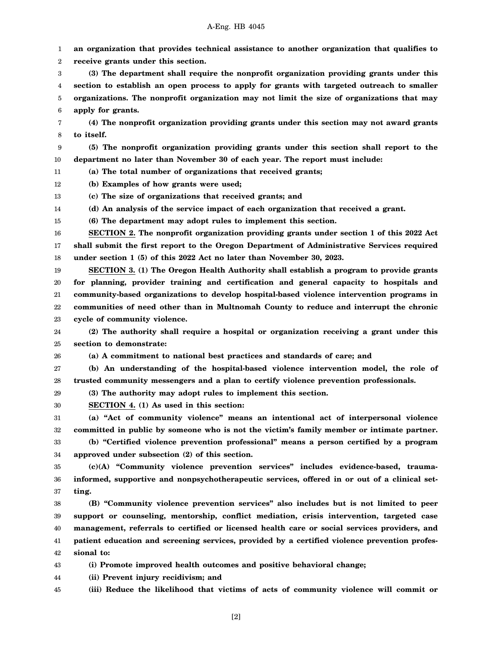## A-Eng. HB 4045

1 2 3 4 5 6 7 8 9 10 11 12 13 14 15 16 17 18 19 20 21 22 23 24 25 26 27 28 29 30 31 32 33 34 35 36 37 38 39 40 41 42 43 44 **an organization that provides technical assistance to another organization that qualifies to receive grants under this section. (3) The department shall require the nonprofit organization providing grants under this section to establish an open process to apply for grants with targeted outreach to smaller organizations. The nonprofit organization may not limit the size of organizations that may apply for grants. (4) The nonprofit organization providing grants under this section may not award grants to itself. (5) The nonprofit organization providing grants under this section shall report to the department no later than November 30 of each year. The report must include: (a) The total number of organizations that received grants; (b) Examples of how grants were used; (c) The size of organizations that received grants; and (d) An analysis of the service impact of each organization that received a grant. (6) The department may adopt rules to implement this section. SECTION 2. The nonprofit organization providing grants under section 1 of this 2022 Act shall submit the first report to the Oregon Department of Administrative Services required under section 1 (5) of this 2022 Act no later than November 30, 2023. SECTION 3. (1) The Oregon Health Authority shall establish a program to provide grants for planning, provider training and certification and general capacity to hospitals and community-based organizations to develop hospital-based violence intervention programs in communities of need other than in Multnomah County to reduce and interrupt the chronic cycle of community violence. (2) The authority shall require a hospital or organization receiving a grant under this section to demonstrate: (a) A commitment to national best practices and standards of care; and (b) An understanding of the hospital-based violence intervention model, the role of trusted community messengers and a plan to certify violence prevention professionals. (3) The authority may adopt rules to implement this section. SECTION 4. (1) As used in this section: (a) "Act of community violence" means an intentional act of interpersonal violence committed in public by someone who is not the victim's family member or intimate partner. (b) "Certified violence prevention professional" means a person certified by a program approved under subsection (2) of this section. (c)(A) "Community violence prevention services" includes evidence-based, traumainformed, supportive and nonpsychotherapeutic services, offered in or out of a clinical setting. (B) "Community violence prevention services" also includes but is not limited to peer support or counseling, mentorship, conflict mediation, crisis intervention, targeted case management, referrals to certified or licensed health care or social services providers, and patient education and screening services, provided by a certified violence prevention professional to: (i) Promote improved health outcomes and positive behavioral change; (ii) Prevent injury recidivism; and**

45 **(iii) Reduce the likelihood that victims of acts of community violence will commit or**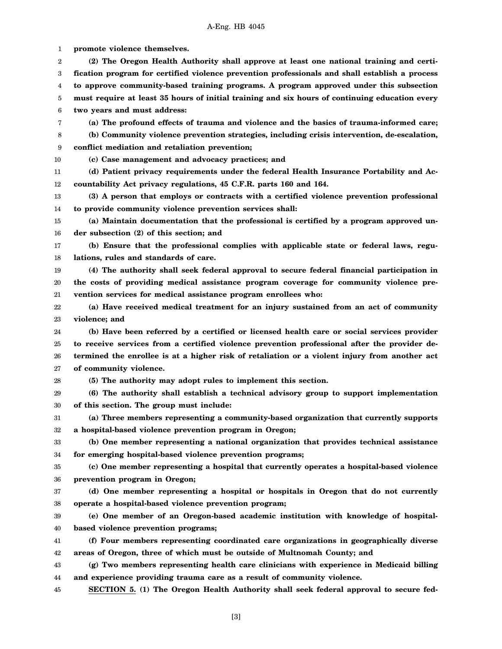1 2 3 4 5 6 7 8 9 10 11 12 13 14 15 16 17 18 19 20 21 22 23 24 25 26 27 28 29 30 31 32 33 34 35 36 37 38 39 40 41 42 43 44 45 **promote violence themselves. (2) The Oregon Health Authority shall approve at least one national training and certification program for certified violence prevention professionals and shall establish a process to approve community-based training programs. A program approved under this subsection must require at least 35 hours of initial training and six hours of continuing education every two years and must address: (a) The profound effects of trauma and violence and the basics of trauma-informed care; (b) Community violence prevention strategies, including crisis intervention, de-escalation, conflict mediation and retaliation prevention; (c) Case management and advocacy practices; and (d) Patient privacy requirements under the federal Health Insurance Portability and Accountability Act privacy regulations, 45 C.F.R. parts 160 and 164. (3) A person that employs or contracts with a certified violence prevention professional to provide community violence prevention services shall: (a) Maintain documentation that the professional is certified by a program approved under subsection (2) of this section; and (b) Ensure that the professional complies with applicable state or federal laws, regulations, rules and standards of care. (4) The authority shall seek federal approval to secure federal financial participation in the costs of providing medical assistance program coverage for community violence prevention services for medical assistance program enrollees who: (a) Have received medical treatment for an injury sustained from an act of community violence; and (b) Have been referred by a certified or licensed health care or social services provider to receive services from a certified violence prevention professional after the provider determined the enrollee is at a higher risk of retaliation or a violent injury from another act of community violence. (5) The authority may adopt rules to implement this section. (6) The authority shall establish a technical advisory group to support implementation of this section. The group must include: (a) Three members representing a community-based organization that currently supports a hospital-based violence prevention program in Oregon; (b) One member representing a national organization that provides technical assistance for emerging hospital-based violence prevention programs; (c) One member representing a hospital that currently operates a hospital-based violence prevention program in Oregon; (d) One member representing a hospital or hospitals in Oregon that do not currently operate a hospital-based violence prevention program; (e) One member of an Oregon-based academic institution with knowledge of hospitalbased violence prevention programs; (f) Four members representing coordinated care organizations in geographically diverse areas of Oregon, three of which must be outside of Multnomah County; and (g) Two members representing health care clinicians with experience in Medicaid billing and experience providing trauma care as a result of community violence. SECTION 5. (1) The Oregon Health Authority shall seek federal approval to secure fed-**